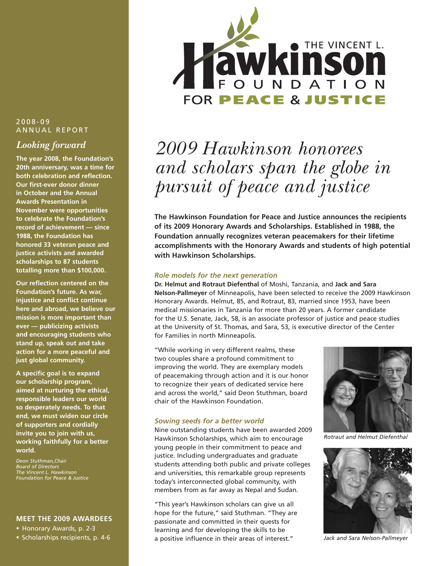### 2008-09 ANNUAL REPORT

### *Looking forward*

**The year 2008, the Foundation's 20th anniversary, was a time for both celebration and reflection. Our first-ever donor dinner in October and the Annual Awards Presentation in November were opportunities to celebrate the Foundation's record of achievement — since 1988, the Foundation has honored 33 veteran peace and justice activists and awarded scholarships to 87 students totalling more than \$100,000.** 

**Our reflection centered on the Foundation's future. As war, injustice and conflict continue here and abroad, we believe our mission is more important than ever — publicizing activists and encouraging students who stand up, speak out and take action for a more peaceful and just global community.** 

**A specific goal is to expand our scholarship program, aimed at nurturing the ethical, responsible leaders our world so desperately needs. To that end, we must widen our circle of supporters and cordially invite you to join with us, working faithfully for a better world.**

*Deon Stuthman,Chair Board of Directors The Vincent L. Hawkinson Foundation for Peace & Justice*

#### **MEET THE 2009 AWARDEES**

• Honorary Awards, p. 2-3





# *2009 Hawkinson honorees and scholars span the globe in pursuit of peace and justice*

**The Hawkinson Foundation for Peace and Justice announces the recipients of its 2009 Honorary Awards and Scholarships. Established in 1988, the Foundation annually recognizes veteran peacemakers for their lifetime accomplishments with the Honorary Awards and students of high potential with Hawkinson Scholarships.** 

#### *Role models for the next generation*

**Dr. Helmut and Rotraut Diefenthal** of Moshi, Tanzania, and **Jack and Sara Nelson-Pallmeyer** of Minneapolis, have been selected to receive the 2009 Hawkinson Honorary Awards. Helmut, 85, and Rotraut, 83, married since 1953, have been medical missionaries in Tanzania for more than 20 years. A former candidate for the U.S. Senate, Jack, 58, is an associate professor of justice and peace studies at the University of St. Thomas, and Sara, 53, is executive director of the Center for Families in north Minneapolis.

"While working in very different realms, these two couples share a profound commitment to improving the world. They are exemplary models of peacemaking through action and it is our honor to recognize their years of dedicated service here and across the world," said Deon Stuthman, board chair of the Hawkinson Foundation.

#### *Sowing seeds for a better world*

Nine outstanding students have been awarded 2009 Hawkinson Scholarships, which aim to encourage young people in their commitment to peace and justice. Including undergraduates and graduate students attending both public and private colleges and universities, this remarkable group represents today's interconnected global community, with members from as far away as Nepal and Sudan.

"This year's Hawkinson scholars can give us all hope for the future," said Stuthman. "They are passionate and committed in their quests for learning and for developing the skills to be a positive influence in their areas of interest." *Jack and Sara Nelson-Pallmeyer*



*Rotraut and Helmut Diefenthal*

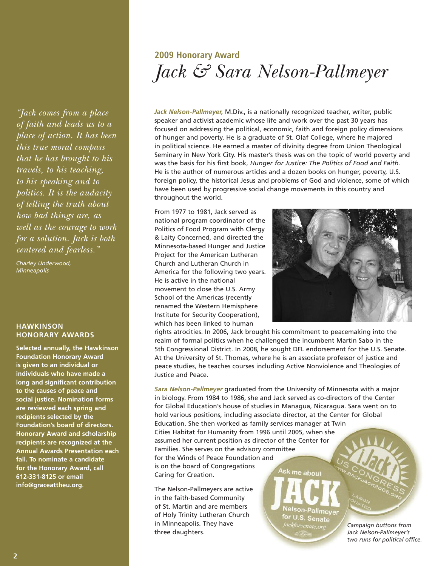*"Jack comes from a place of faith and leads us to a place of action. It has been this true moral compass that he has brought to his travels, to his teaching, to his speaking and to politics. It is the audacity of telling the truth about how bad things are, as well as the courage to work for a solution. Jack is both centered and fearless."*

*Charley Underwood, Minneapolis*

#### **HAWKINSON HONORARY AWARDS**

**Selected annually, the Hawkinson Foundation Honorary Award is given to an individual or individuals who have made a long and significant contribution to the causes of peace and social justice. Nomination forms are reviewed each spring and recipients selected by the Foundation's board of directors. Honorary Award and scholarship recipients are recognized at the Annual Awards Presentation each fall. To nominate a candidate for the Honorary Award, call 612-331-8125 or email info@graceattheu.org**.

# **2009 Honorary Award** *Jack & Sara Nelson-Pallmeyer*

*Jack Nelson-Pallmeyer,* M.Div., is a nationally recognized teacher, writer, public speaker and activist academic whose life and work over the past 30 years has focused on addressing the political, economic, faith and foreign policy dimensions of hunger and poverty. He is a graduate of St. Olaf College, where he majored in political science. He earned a master of divinity degree from Union Theological Seminary in New York City. His master's thesis was on the topic of world poverty and was the basis for his first book, *Hunger for Justice: The Politics of Food and Faith.* He is the author of numerous articles and a dozen books on hunger, poverty, U.S. foreign policy, the historical Jesus and problems of God and violence, some of which have been used by progressive social change movements in this country and throughout the world.

From 1977 to 1981, Jack served as national program coordinator of the Politics of Food Program with Clergy & Laity Concerned, and directed the Minnesota-based Hunger and Justice Project for the American Lutheran Church and Lutheran Church in America for the following two years. He is active in the national movement to close the U.S. Army School of the Americas (recently renamed the Western Hemisphere Institute for Security Cooperation), which has been linked to human



rights atrocities. In 2006, Jack brought his commitment to peacemaking into the realm of formal politics when he challenged the incumbent Martin Sabo in the 5th Congressional District. In 2008, he sought DFL endorsement for the U.S. Senate. At the University of St. Thomas, where he is an associate professor of justice and peace studies, he teaches courses including Active Nonviolence and Theologies of Justice and Peace.

*Sara Nelson-Pallmeyer* graduated from the University of Minnesota with a major in biology. From 1984 to 1986, she and Jack served as co-directors of the Center for Global Education's house of studies in Managua, Nicaragua. Sara went on to hold various positions, including associate director, at the Center for Global Education. She then worked as family services manager at Twin Cities Habitat for Humanity from 1996 until 2005, when she assumed her current position as director of the Center for Families. She serves on the advisory committee for the Winds of Peace Foundation and is on the board of Congregations Ask me about Caring for Creation.

The Nelson-Pallmeyers are active in the faith-based Community of St. Martin and are members of Holy Trinity Lutheran Church in Minneapolis. They have three daughters.

Nelson-Pallmeyer for U.S. Senate ackforsenate.or

*Campaign buttons from Jack Nelson-Pallmeyer's two runs for political office.*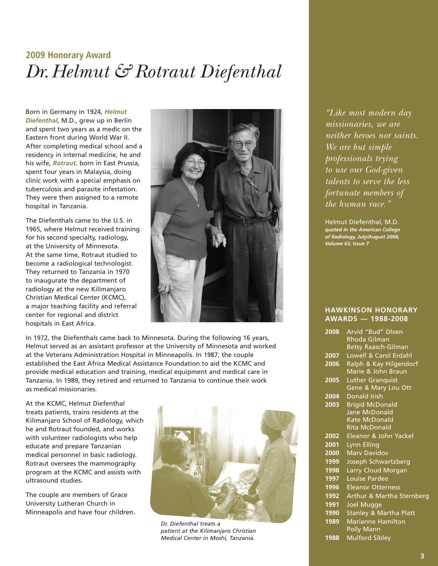## **2009 Honorary Award** *Dr.Helmut & Rotraut Diefenthal*

Born in Germany in 1924, *Helmut Diefenthal*, M.D., grew up in Berlin and spent two years as a medic on the Eastern front during World War II. After completing medical school and a residency in internal medicine, he and his wife, *Rotraut,* born in East Prussia, spent four years in Malaysia, doing clinic work with a special emphasis on tuberculosis and parasite infestation. They were then assigned to a remote hospital in Tanzania.

The Diefenthals came to the U.S. in 1965, where Helmut received training for his second specialty, radiology, at the University of Minnesota. At the same time, Rotraut studied to become a radiological technologist. They returned to Tanzania in 1970 to inaugurate the department of radiology at the new Kilimanjaro Christian Medical Center (KCMC), a major teaching facility and referral center for regional and district hospitals in East Africa.



In 1972, the Diefenthals came back to Minnesota. During the following 16 years, Helmut served as an assistant professor at the University of Minnesota and worked at the Veterans Administration Hospital in Minneapolis. In 1987, the couple established the East Africa Medical Assistance Foundation to aid the KCMC and provide medical education and training, medical equipment and medical care in Tanzania. In 1989, they retired and returned to Tanzania to continue their work as medical missionaries.

At the KCMC, Helmut Diefenthal treats patients, trains residents at the Kilimanjaro School of Radiology, which he and Rotraut founded, and works with volunteer radiologists who help educate and prepare Tanzanian medical personnel in basic radiology. Rotraut oversees the mammography program at the KCMC and assists with ultrasound studies.

The couple are members of Grace University Lutheran Church in Minneapolis and have four children.



*Dr. Diefenthal treats a patient at the Kilimanjaro Christian Medical Center in Moshi, Tanzania.*

*"Like most modern day missionaries, we are neither heroes nor saints. We are but simple professionals trying to use our God-given talents to serve the less fortunate members of the human race."* 

Helmut Diefenthal, M.D. *quoted in the American College of Radiology, July/August 2008, Volume 63, Issue 7*

#### **HAWKINSON HONORARY AWARDS — 1988-2008**

| 2008 | Arvid "Bud" DIxen                 |
|------|-----------------------------------|
|      | Rhoda Gilman                      |
|      | <b>Betsy Raasch-Gilman</b>        |
| 2007 | Lowell & Carol Erdahl             |
| 2006 | Ralph & Kay Hilgendorf            |
|      | Marie & John Braun                |
| 2005 | <b>Luther Granquist</b>           |
|      | Gene & Mary Lou Ott               |
| 2004 | Donald Irish                      |
| 2003 | <b>Brigid McDonald</b>            |
|      | <b>Jane McDonald</b>              |
|      | <b>Kate McDonald</b>              |
|      | <b>Rita McDonald</b>              |
| 2002 | Eleanor & John Yackel             |
| 2001 | Lynn Elling                       |
| 2000 | <b>Mary Davidov</b>               |
| 1999 | Joseph Schwartzberg               |
| 1998 | Larry Cloud Morgan                |
| 1997 | Louise Pardee                     |
| 1996 | <b>Eleanor Otterness</b>          |
| 1992 | Arthur & Martha Sternberg         |
| 1991 | <b>Joel Mugge</b>                 |
| 1990 | <b>Stanley &amp; Martha Platt</b> |
| 1989 | <b>Marianne Hamilton</b>          |
|      | <b>Polly Mann</b>                 |
| 1988 | <b>Mulford Sibley</b>             |
|      |                                   |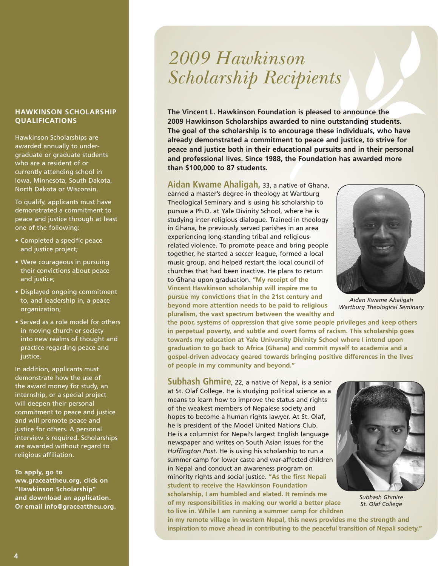#### **HAWKINSON SCHOLARSHIP QUALIFICATIONS**

Hawkinson Scholarships are awarded annually to undergraduate or graduate students who are a resident of or currently attending school in Iowa, Minnesota, South Dakota, North Dakota or Wisconsin.

To qualify, applicants must have demonstrated a commitment to peace and justice through at least one of the following:

- Completed a specific peace and justice project;
- Were courageous in pursuing their convictions about peace and justice;
- Displayed ongoing commitment to, and leadership in, a peace organization;
- Served as a role model for others in moving church or society into new realms of thought and practice regarding peace and justice.

In addition, applicants must demonstrate how the use of the award money for study, an internship, or a special project will deepen their personal commitment to peace and justice and will promote peace and justice for others. A personal interview is required. Scholarships are awarded without regard to religious affiliation.

#### **To apply, go to**

**ww.graceattheu.org, click on "Hawkinson Scholarship" and download an application. Or email info@graceattheu.org.**

# *2009 Hawkinson Scholarship Recipients*

**The Vincent L. Hawkinson Foundation is pleased to announce the 2009 Hawkinson Scholarships awarded to nine outstanding students. The goal of the scholarship is to encourage these individuals, who have already demonstrated a commitment to peace and justice, to strive for peace and justice both in their educational pursuits and in their personal and professional lives. Since 1988, the Foundation has awarded more than \$100,000 to 87 students.**

**Aidan Kwame Ahaligah,** 33, a native of Ghana,

earned a master's degree in theology at Wartburg Theological Seminary and is using his scholarship to pursue a Ph.D. at Yale Divinity School, where he is studying inter-religious dialogue. Trained in theology in Ghana, he previously served parishes in an area experiencing long-standing tribal and religiousrelated violence. To promote peace and bring people together, he started a soccer league, formed a local music group, and helped restart the local council of churches that had been inactive. He plans to return to Ghana upon graduation. **"My receipt of the Vincent Hawkinson scholarship will inspire me to pursue my convictions that in the 21st century and beyond more attention needs to be paid to religious pluralism, the vast spectrum between the wealthy and**



*Aidan Kwame Ahaligah Wartburg Theological Seminary*

**the poor, systems of oppression that give some people privileges and keep others in perpetual poverty, and subtle and overt forms of racism. This scholarship goes towards my education at Yale University Divinity School where I intend upon graduation to go back to Africa (Ghana) and commit myself to academia and a gospel-driven advocacy geared towards bringing positive differences in the lives of people in my community and beyond."**

**Subhash Ghmire**, 22, a native of Nepal, is a senior at St. Olaf College. He is studying political science as a means to learn how to improve the status and rights of the weakest members of Nepalese society and hopes to become a human rights lawyer. At St. Olaf, he is president of the Model United Nations Club. He is a columnist for Nepal's largest English language newspaper and writes on South Asian issues for the *Huffington Post*. He is using his scholarship to run a summer camp for lower caste and war-affected children in Nepal and conduct an awareness program on minority rights and social justice. **"As the first Nepali student to receive the Hawkinson Foundation scholarship, I am humbled and elated. It reminds me of my responsibilities in making our world a better place to live in. While I am running a summer camp for children** 

*Subhash Ghmire St. Olaf College*

**in my remote village in western Nepal, this news provides me the strength and inspiration to move ahead in contributing to the peaceful transition of Nepali society."**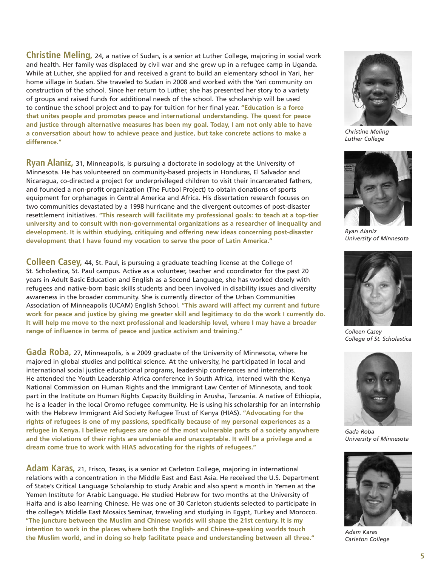**Christine Meling,** 24, a native of Sudan, is a senior at Luther College, majoring in social work and health. Her family was displaced by civil war and she grew up in a refugee camp in Uganda. While at Luther, she applied for and received a grant to build an elementary school in Yari, her home village in Sudan. She traveled to Sudan in 2008 and worked with the Yari community on construction of the school. Since her return to Luther, she has presented her story to a variety of groups and raised funds for additional needs of the school. The scholarship will be used to continue the school project and to pay for tuition for her final year. **"Education is a force that unites people and promotes peace and international understanding. The quest for peace and justice through alternative measures has been my goal. Today, I am not only able to have a conversation about how to achieve peace and justice, but take concrete actions to make a difference."**

**Ryan Alaniz,** 31, Minneapolis, is pursuing a doctorate in sociology at the University of Minnesota. He has volunteered on community-based projects in Honduras, El Salvador and Nicaragua, co-directed a project for underprivileged children to visit their incarcerated fathers, and founded a non-profit organization (The Futbol Project) to obtain donations of sports equipment for orphanages in Central America and Africa. His dissertation research focuses on two communities devastated by a 1998 hurricane and the divergent outcomes of post-disaster resettlement initiatives. **"This research will facilitate my professional goals: to teach at a top-tier university and to consult with non-governmental organizations as a researcher of inequality and development. It is within studying, critiquing and offering new ideas concerning post-disaster development that I have found my vocation to serve the poor of Latin America."**

**Colleen Casey,** 44, St. Paul, is pursuing a graduate teaching license at the College of St. Scholastica, St. Paul campus. Active as a volunteer, teacher and coordinator for the past 20 years in Adult Basic Education and English as a Second Language, she has worked closely with refugees and native-born basic skills students and been involved in disability issues and diversity awareness in the broader community. She is currently director of the Urban Communities Association of Minneapolis (UCAM) English School. **"This award will affect my current and future work for peace and justice by giving me greater skill and legitimacy to do the work I currently do. It will help me move to the next professional and leadership level, where I may have a broader range of influence in terms of peace and justice activism and training."**

**Gada Roba,** 27, Minneapolis, is a 2009 graduate of the University of Minnesota, where he majored in global studies and political science. At the university, he participated in local and international social justice educational programs, leadership conferences and internships. He attended the Youth Leadership Africa conference in South Africa, interned with the Kenya National Commission on Human Rights and the Immigrant Law Center of Minnesota, and took part in the Institute on Human Rights Capacity Building in Arusha, Tanzania. A native of Ethiopia, he is a leader in the local Oromo refugee community. He is using his scholarship for an internship with the Hebrew Immigrant Aid Society Refugee Trust of Kenya (HIAS). **"Advocating for the rights of refugees is one of my passions, specifically because of my personal experiences as a refugee in Kenya. I believe refugees are one of the most vulnerable parts of a society anywhere and the violations of their rights are undeniable and unacceptable. It will be a privilege and a dream come true to work with HIAS advocating for the rights of refugees."**

**Adam Karas,** 21, Frisco, Texas, is a senior at Carleton College, majoring in international relations with a concentration in the Middle East and East Asia. He received the U.S. Department of State's Critical Language Scholarship to study Arabic and also spent a month in Yemen at the Yemen Institute for Arabic Language. He studied Hebrew for two months at the University of Haifa and is also learning Chinese. He was one of 30 Carleton students selected to participate in the college's Middle East Mosaics Seminar, traveling and studying in Egypt, Turkey and Morocco. **"The juncture between the Muslim and Chinese worlds will shape the 21st century. It is my intention to work in the places where both the English- and Chinese-speaking worlds touch the Muslim world, and in doing so help facilitate peace and understanding between all three."** 



*Christine Meling Luther College*



*Ryan Alaniz University of Minnesota*



*Colleen Casey College of St. Scholastica*



*Gada Roba University of Minnesota*



*Adam Karas Carleton College*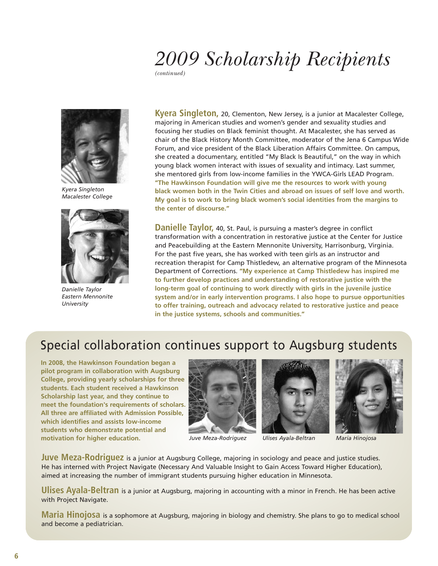# *2009 Scholarship Recipients*

*(continued)*



*Kyera Singleton Macalester College*



*Danielle Taylor Eastern Mennonite University*

**Kyera Singleton,** 20, Clementon, New Jersey, is a junior at Macalester College, majoring in American studies and women's gender and sexuality studies and focusing her studies on Black feminist thought. At Macalester, she has served as chair of the Black History Month Committee, moderator of the Jena 6 Campus Wide Forum, and vice president of the Black Liberation Affairs Committee. On campus, she created a documentary, entitled "My Black Is Beautiful," on the way in which young black women interact with issues of sexuality and intimacy. Last summer, she mentored girls from low-income families in the YWCA-Girls LEAD Program. **"The Hawkinson Foundation will give me the resources to work with young black women both in the Twin Cities and abroad on issues of self love and worth. My goal is to work to bring black women's social identities from the margins to the center of discourse."**

**Danielle Taylor,** 40, St. Paul, is pursuing a master's degree in conflict transformation with a concentration in restorative justice at the Center for Justice and Peacebuilding at the Eastern Mennonite University, Harrisonburg, Virginia. For the past five years, she has worked with teen girls as an instructor and recreation therapist for Camp Thistledew, an alternative program of the Minnesota Department of Corrections. **"My experience at Camp Thistledew has inspired me to further develop practices and understanding of restorative justice with the long-term goal of continuing to work directly with girls in the juvenile justice system and/or in early intervention programs. I also hope to pursue opportunities to offer training, outreach and advocacy related to restorative justice and peace in the justice systems, schools and communities."** 

## Special collaboration continues support to Augsburg students

**In 2008, the Hawkinson Foundation began a pilot program in collaboration with Augsburg College, providing yearly scholarships for three students. Each student received a Hawkinson Scholarship last year, and they continue to meet the foundation's requirements of scholars. All three are affiliated with Admission Possible, which identifies and assists low-income students who demonstrate potential and motivation for higher education.**



*Juve Meza-Rodriguez Ulises Ayala-Beltran Maria Hinojosa*





**Juve Meza-Rodriguez** is a junior at Augsburg College, majoring in sociology and peace and justice studies. He has interned with Project Navigate (Necessary And Valuable Insight to Gain Access Toward Higher Education), aimed at increasing the number of immigrant students pursuing higher education in Minnesota.

**Ulises Ayala-Beltran** is a junior at Augsburg, majoring in accounting with a minor in French. He has been active with Project Navigate.

**Maria Hinojosa** is a sophomore at Augsburg, majoring in biology and chemistry. She plans to go to medical school and become a pediatrician.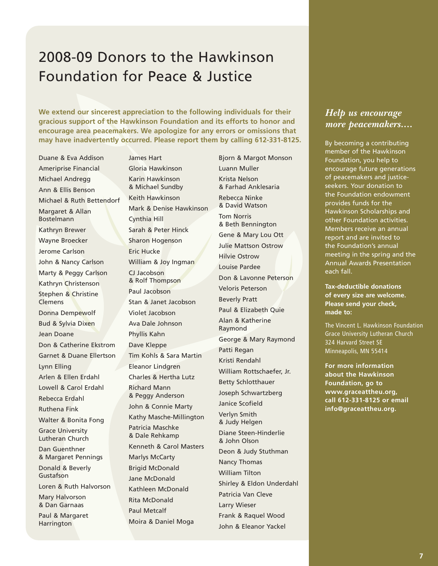## 2008-09 Donors to the Hawkinson Foundation for Peace & Justice

**We extend our sincerest appreciation to the following individuals for their gracious support of the Hawkinson Foundation and its efforts to honor and encourage area peacemakers. We apologize for any errors or omissions that may have inadvertently occurred. Please report them by calling 612-331-8125.**

Duane & Eva Addison Ameriprise Financial Michael Andregg Ann & Ellis Benson Michael & Ruth Bettendorf Margaret & Allan Bostelmann Kathryn Brewer Wayne Broecker Jerome Carlson John & Nancy Carlson Marty & Peggy Carlson Kathryn Christenson Stephen & Christine Clemens Donna Dempewolf Bud & Sylvia Dixen Jean Doane Don & Catherine Ekstrom Garnet & Duane Ellertson Lynn Elling Arlen & Ellen Erdahl Lowell & Carol Erdahl Rebecca Erdahl Ruthena Fink Walter & Bonita Fong Grace University Lutheran Church Dan Guenthner & Margaret Pennings Donald & Beverly Gustafson Loren & Ruth Halvorson Mary Halvorson & Dan Garnaas Paul & Margaret **Harrington** 

James Hart Gloria Hawkinson Karin Hawkinson & Michael Sundby Keith Hawkinson Mark & Denise Hawkinson Cynthia Hill Sarah & Peter Hinck Sharon Hogenson Eric Hucke William & Joy Ingman CJ Jacobson & Rolf Thompson Paul Jacobson Stan & Janet Jacobson Violet Jacobson Ava Dale Johnson Phyllis Kahn Dave Kleppe Tim Kohls & Sara Martin Eleanor Lindgren Charles & Hertha Lutz Richard Mann & Peggy Anderson John & Connie Marty Kathy Masche-Millington Patricia Maschke & Dale Rehkamp Kenneth & Carol Masters Marlys McCarty Brigid McDonald Jane McDonald Kathleen McDonald Rita McDonald Paul Metcalf Moira & Daniel Moga

Bjorn & Margot Monson Luann Muller Krista Nelson & Farhad Anklesaria Rebecca Ninke & David Watson Tom Norris & Beth Bennington Gene & Mary Lou Ott Julie Mattson Ostrow Hilvie Ostrow Louise Pardee Don & Lavonne Peterson Veloris Peterson Beverly Pratt Paul & Elizabeth Quie Alan & Katherine Raymond George & Mary Raymond Patti Regan Kristi Rendahl William Rottschaefer, Jr. Betty Schlotthauer Joseph Schwartzberg Janice Scofield Verlyn Smith & Judy Helgen Diane Steen-Hinderlie & John Olson Deon & Judy Stuthman Nancy Thomas William Tilton Shirley & Eldon Underdahl Patricia Van Cleve Larry Wieser Frank & Raquel Wood John & Eleanor Yackel

### *Help us encourage more peacemakers....*

By becoming a contributing member of the Hawkinson Foundation, you help to encourage future generations of peacemakers and justiceseekers. Your donation to the Foundation endowment provides funds for the Hawkinson Scholarships and other Foundation activities. Members receive an annual report and are invited to the Foundation's annual meeting in the spring and the Annual Awards Presentation each fall.

**Tax-deductible donations of every size are welcome. Please send your check, made to:** 

The Vincent L. Hawkinson Foundation Grace University Lutheran Church 324 Harvard Street SE Minneapolis, MN 55414

**For more information about the Hawkinson Foundation, go to www.graceattheu.org, call 612-331-8125 or email info@graceattheu.org.**